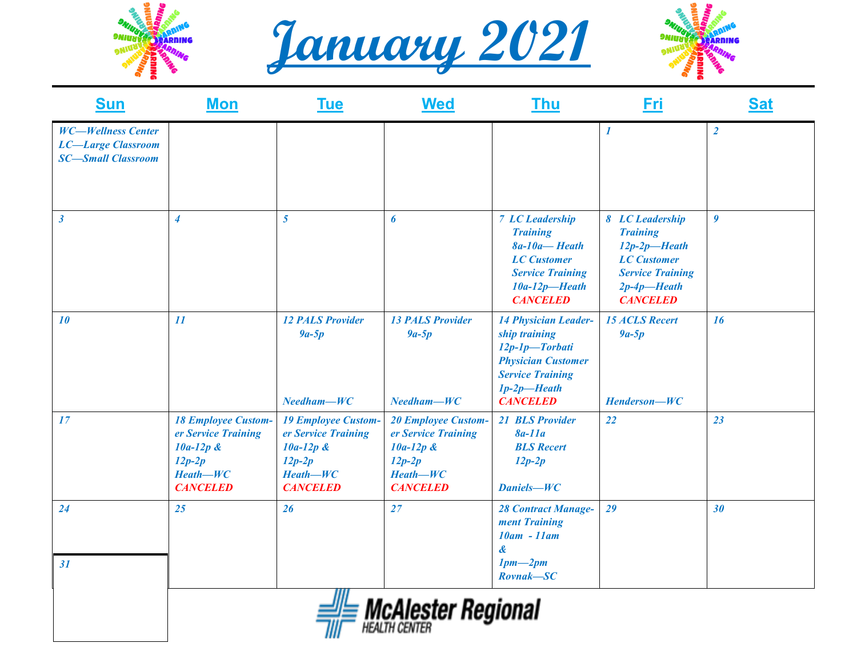





| <b>Sun</b>                                                                          | <b>Mon</b>                                                                                                    | <b>Tue</b>                                                                                                    | <b>Wed</b>                                                                                                    | <b>Thu</b>                                                                                                                                                  | Fri                                                                                                                                         | <b>Sat</b>       |
|-------------------------------------------------------------------------------------|---------------------------------------------------------------------------------------------------------------|---------------------------------------------------------------------------------------------------------------|---------------------------------------------------------------------------------------------------------------|-------------------------------------------------------------------------------------------------------------------------------------------------------------|---------------------------------------------------------------------------------------------------------------------------------------------|------------------|
| <b>WC-Wellness Center</b><br><b>LC-Large Classroom</b><br><b>SC-Small Classroom</b> |                                                                                                               |                                                                                                               |                                                                                                               |                                                                                                                                                             | $\boldsymbol{l}$                                                                                                                            | $\overline{2}$   |
| $\mathbf{3}$                                                                        | $\overline{4}$                                                                                                | $\overline{5}$                                                                                                | 6                                                                                                             | <b>7 LC Leadership</b><br><b>Training</b><br>$8a-10a$ -Heath<br><b>LC</b> Customer<br><b>Service Training</b><br>$10a-12p$ -Heath<br><b>CANCELED</b>        | 8 LC Leadership<br><b>Training</b><br>$12p-2p$ -Heath<br><b>LC</b> Customer<br><b>Service Training</b><br>$2p-4p$ -Heath<br><b>CANCELED</b> | $\boldsymbol{g}$ |
| 10                                                                                  | 11                                                                                                            | <b>12 PALS Provider</b><br>$9a-5p$<br>$Needham-WC$                                                            | <b>13 PALS Provider</b><br>$9a-5p$<br>$Needham-WC$                                                            | <b>14 Physician Leader-</b><br>ship training<br>12p-1p-Torbati<br><b>Physician Customer</b><br><b>Service Training</b><br>$1p-2p$ -Heath<br><b>CANCELED</b> | <b>15 ACLS Recert</b><br>$9a-5p$<br>Henderson-WC                                                                                            | <b>16</b>        |
| 17                                                                                  | <b>18 Employee Custom-</b><br>er Service Training<br>$10a-12p$ &<br>$12p-2p$<br>$Heath-WC$<br><b>CANCELED</b> | <b>19 Employee Custom-</b><br>er Service Training<br>$10a-12p$ &<br>$12p-2p$<br>$Heath-WC$<br><b>CANCELED</b> | <b>20 Employee Custom-</b><br>er Service Training<br>$10a-12p$ &<br>$12p-2p$<br>$Heath-WC$<br><b>CANCELED</b> | 21 BLS Provider<br>$8a-11a$<br><b>BLS</b> Recert<br>$12p-2p$<br>Daniels-WC                                                                                  | 22                                                                                                                                          | 23               |
| 24                                                                                  | 25                                                                                                            | 26                                                                                                            | 27                                                                                                            | <b>28 Contract Manage-</b><br>ment Training<br>10am - 11am<br>$\boldsymbol{\alpha}$                                                                         | 29                                                                                                                                          | 30               |
| 31                                                                                  |                                                                                                               | Ш                                                                                                             | -- - -                                                                                                        | $1pm-2pm$<br>$Rownak - SC$<br>-                                                                                                                             |                                                                                                                                             |                  |

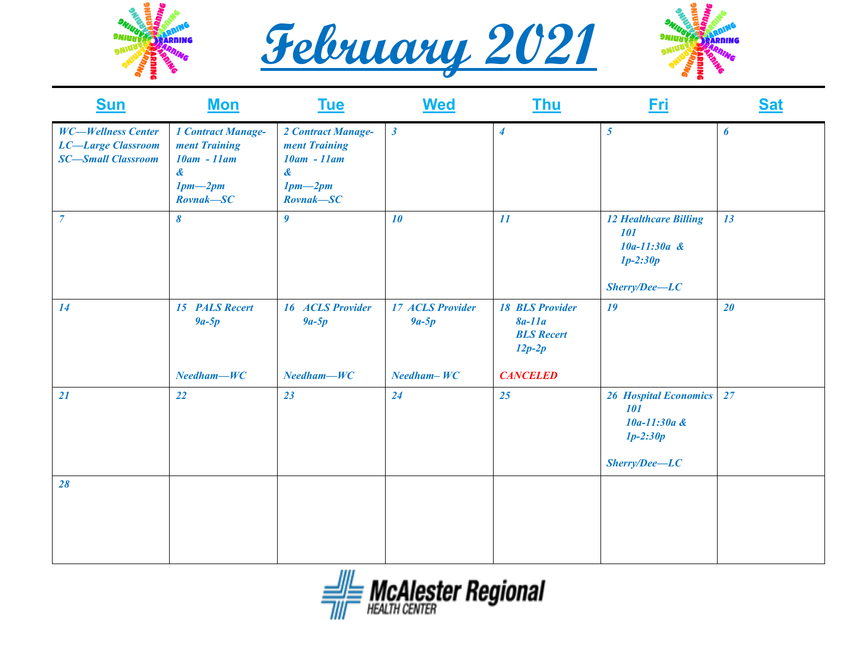





| <b>Sun</b>                                                                          | <b>Mon</b>                                                                                                         | <b>Tue</b>                                                                                                       | <b>Wed</b>                                         | <b>Thu</b>                                                                             | <u>Fri</u>                                                                             | <b>Sat</b> |
|-------------------------------------------------------------------------------------|--------------------------------------------------------------------------------------------------------------------|------------------------------------------------------------------------------------------------------------------|----------------------------------------------------|----------------------------------------------------------------------------------------|----------------------------------------------------------------------------------------|------------|
| <b>WC-Wellness Center</b><br><b>LC-Large Classroom</b><br><b>SC-Small Classroom</b> | <b>1 Contract Manage-</b><br>ment Training<br>$10am - 11am$<br>$\boldsymbol{\alpha}$<br>$1pm-2pm$<br>$Rownak - SC$ | 2 Contract Manage-<br>ment Training<br>$10am - 11am$<br>$\boldsymbol{\mathcal{X}}$<br>$1pm-2pm$<br>$Rownak - SC$ | $\boldsymbol{\beta}$                               | $\overline{\boldsymbol{4}}$                                                            | $5\overline{)}$                                                                        | 6          |
| $\overline{7}$                                                                      | $\boldsymbol{\delta}$                                                                                              | $\boldsymbol{g}$                                                                                                 | 10                                                 | 11                                                                                     | <b>12 Healthcare Billing</b><br>101<br>$10a-11:30a$ &<br>$1p-2:30p$<br>$Sherry/Dee-LC$ | 13         |
| 14                                                                                  | 15 PALS Recert<br>$9a-5p$<br>$Needham-WC$                                                                          | <b>16 ACLS Provider</b><br>$9a-5p$<br>$Needham-WC$                                                               | <b>17 ACLS Provider</b><br>$9a-5p$<br>$Needham-WC$ | <b>18 BLS Provider</b><br>$8a-11a$<br><b>BLS</b> Recert<br>$12p-2p$<br><b>CANCELED</b> | 19                                                                                     | 20         |
| 21                                                                                  | 22                                                                                                                 | 23                                                                                                               | 24                                                 | 25                                                                                     | <b>26 Hospital Economics</b><br>101<br>$10a-11:30a$ &<br>$1p-2:30p$<br>$Sherry/Dec-LC$ | 27         |
| 28                                                                                  |                                                                                                                    |                                                                                                                  |                                                    |                                                                                        |                                                                                        |            |

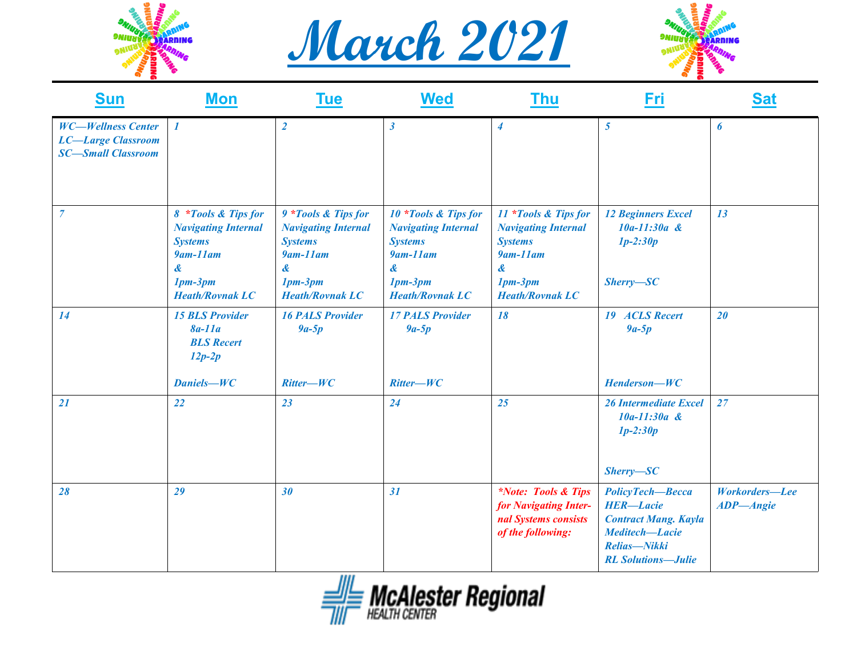





| <b>Sun</b>                                                                          | <b>Mon</b>                                                                                                                     | <u>Tue</u>                                                                                                                         | <b>Wed</b>                                                                                                                          | <u>Thu</u>                                                                                                                                              | Fri                                                                                                                                | <b>Sat</b>                         |
|-------------------------------------------------------------------------------------|--------------------------------------------------------------------------------------------------------------------------------|------------------------------------------------------------------------------------------------------------------------------------|-------------------------------------------------------------------------------------------------------------------------------------|---------------------------------------------------------------------------------------------------------------------------------------------------------|------------------------------------------------------------------------------------------------------------------------------------|------------------------------------|
| <b>WC-Wellness Center</b><br><b>LC-Large Classroom</b><br><b>SC-Small Classroom</b> | 1                                                                                                                              | $\overline{2}$                                                                                                                     | $\boldsymbol{\beta}$                                                                                                                | $\overline{4}$                                                                                                                                          | 5 <sup>5</sup>                                                                                                                     | 6                                  |
| $\overline{7}$                                                                      | 8 *Tools & Tips for<br><b>Navigating Internal</b><br><b>Systems</b><br>$9$ am-11am<br>&<br>$1pm-3pm$<br><b>Heath/Rovnak LC</b> | 9 *Tools & Tips for<br><b>Navigating Internal</b><br><b>Systems</b><br>$9$ am- $11$ am<br>&<br>$1pm-3pm$<br><b>Heath/Rovnak LC</b> | 10 *Tools & Tips for<br><b>Navigating Internal</b><br><b>Systems</b><br>$9$ am- $11$ am<br>&<br>$1pm-3pm$<br><b>Heath/Rovnak LC</b> | 11 *Tools & Tips for<br><b>Navigating Internal</b><br><b>Systems</b><br>$9$ am- $11$ am<br>$\boldsymbol{\alpha}$<br>$1pm-3pm$<br><b>Heath/Rovnak LC</b> | <b>12 Beginners Excel</b><br>10a-11:30a &<br>$1p-2:30p$<br>$Sherry - SC$                                                           | 13                                 |
| 14                                                                                  | <b>15 BLS Provider</b><br>$8a-11a$<br><b>BLS</b> Recert<br>$12p-2p$<br>Daniels-WC                                              | <b>16 PALS Provider</b><br>$9a-5p$<br>$Ritter-WC$                                                                                  | <b>17 PALS Provider</b><br>$9a-5p$<br>Ritter-WC                                                                                     | 18                                                                                                                                                      | 19 ACLS Recert<br>$9a-5p$<br>Henderson-WC                                                                                          | 20                                 |
| 21                                                                                  | 22                                                                                                                             | 23                                                                                                                                 | 24                                                                                                                                  | 25                                                                                                                                                      | <b>26 Intermediate Excel</b><br>10a-11:30a &<br>$1p-2:30p$<br>$Sherry - SC$                                                        | 27                                 |
| 28                                                                                  | 29                                                                                                                             | 30                                                                                                                                 | 31                                                                                                                                  | <i>*Note: Tools &amp; Tips</i><br>for Navigating Inter-<br>nal Systems consists<br>of the following:                                                    | PolicyTech-Becca<br><b>HER-Lacie</b><br><b>Contract Mang. Kayla</b><br>Meditech-Lacie<br>Relias-Nikki<br><b>RL Solutions-Julie</b> | Workorders-Lee<br><b>ADP-Angie</b> |

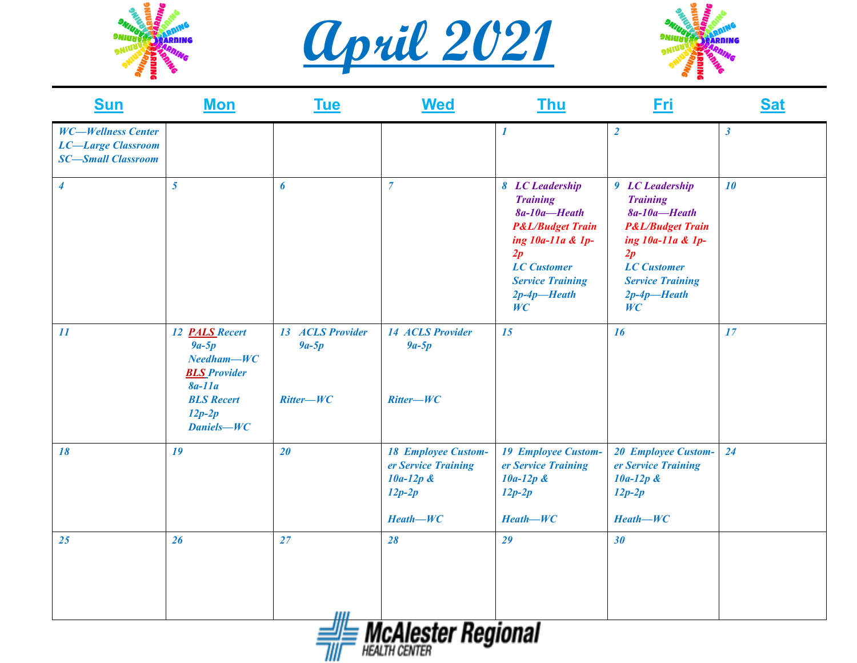





| <b>Sun</b>                                                                          | <b>Mon</b>                                                                                                                         | <u>Tue</u>                                 | <b>Wed</b>                                                                                 | <b>Thu</b>                                                                                                                                                                               | <u>Fri</u>                                                                                                                                                                               | <u>Sat</u>           |
|-------------------------------------------------------------------------------------|------------------------------------------------------------------------------------------------------------------------------------|--------------------------------------------|--------------------------------------------------------------------------------------------|------------------------------------------------------------------------------------------------------------------------------------------------------------------------------------------|------------------------------------------------------------------------------------------------------------------------------------------------------------------------------------------|----------------------|
| <b>WC-Wellness Center</b><br><b>LC-Large Classroom</b><br><b>SC-Small Classroom</b> |                                                                                                                                    |                                            |                                                                                            | 1                                                                                                                                                                                        | $\overline{2}$                                                                                                                                                                           | $\boldsymbol{\beta}$ |
| $\boldsymbol{4}$                                                                    | 5 <sup>5</sup>                                                                                                                     | 6                                          | $\overline{7}$                                                                             | 8 LC Leadership<br><b>Training</b><br>$8a-10a$ -Heath<br><b>P&amp;L/Budget Train</b><br>ing 10a-11a & 1p-<br>2p<br><b>LC</b> Customer<br><b>Service Training</b><br>$2p-4p$ -Heath<br>WC | 9 LC Leadership<br><b>Training</b><br>$8a-10a$ -Heath<br><b>P&amp;L/Budget Train</b><br>ing 10a-11a & 1p-<br>2p<br><b>LC</b> Customer<br><b>Service Training</b><br>$2p-4p$ -Heath<br>WC | 10                   |
| 11                                                                                  | 12 <b>PALS</b> Recert<br>$9a-5p$<br>$Needham-WC$<br><b>BLS</b> Provider<br>$8a-11a$<br><b>BLS</b> Recert<br>$12p-2p$<br>Daniels-WC | 13 ACLS Provider<br>$9a-5p$<br>$Ritter-WC$ | <b>14 ACLS Provider</b><br>$9a-5p$<br>$Ritter-WC$                                          | 15                                                                                                                                                                                       | <b>16</b>                                                                                                                                                                                | 17                   |
| 18                                                                                  | 19                                                                                                                                 | 20                                         | <b>18 Employee Custom-</b><br>er Service Training<br>$10a-12p$ &<br>$12p-2p$<br>$Heath-WC$ | <b>19 Employee Custom-</b><br>er Service Training<br>$10a-12p$ &<br>$12p-2p$<br>$Heath-WC$                                                                                               | <b>20 Employee Custom-</b><br>er Service Training<br>$10a-12p$ &<br>$12p-2p$<br>$Heath-WC$                                                                                               | 24                   |
| 25                                                                                  | 26                                                                                                                                 | 27                                         | 28                                                                                         | 29                                                                                                                                                                                       | 30                                                                                                                                                                                       |                      |
|                                                                                     |                                                                                                                                    |                                            | <b>E McAlester Regional</b>                                                                |                                                                                                                                                                                          |                                                                                                                                                                                          |                      |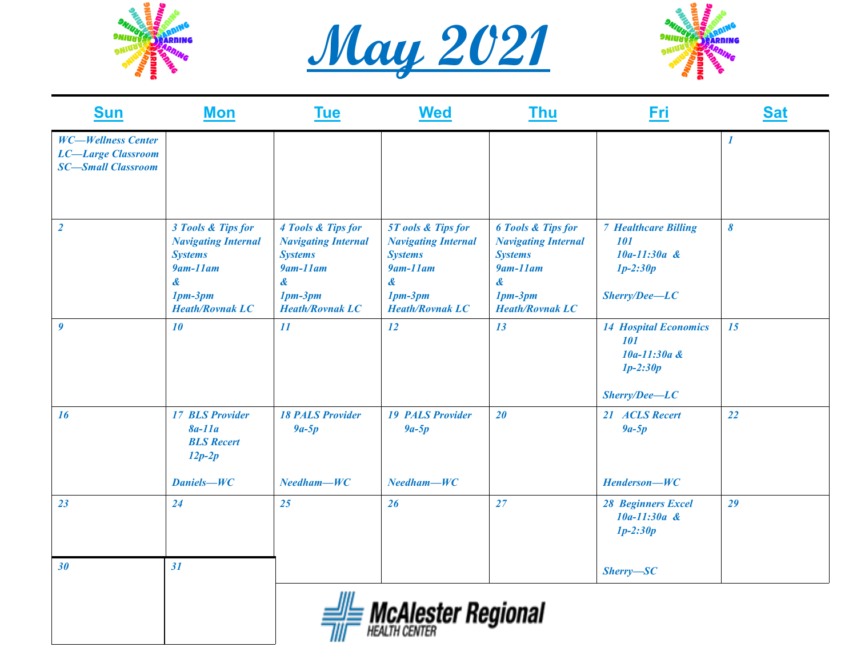





| <b>Sun</b>                                                                          | <b>Mon</b>                                                                                                                        | <b>Tue</b>                                                                                                                        | <b>Wed</b>                                                                                                                               | <u>Thu</u>                                                                                                                                   | <b>Fri</b>                                                                                         | <b>Sat</b>       |
|-------------------------------------------------------------------------------------|-----------------------------------------------------------------------------------------------------------------------------------|-----------------------------------------------------------------------------------------------------------------------------------|------------------------------------------------------------------------------------------------------------------------------------------|----------------------------------------------------------------------------------------------------------------------------------------------|----------------------------------------------------------------------------------------------------|------------------|
| <b>WC-Wellness Center</b><br><b>LC-Large Classroom</b><br><b>SC-Small Classroom</b> |                                                                                                                                   |                                                                                                                                   |                                                                                                                                          |                                                                                                                                              |                                                                                                    | $\boldsymbol{l}$ |
| $\overline{2}$                                                                      | 3 Tools & Tips for<br><b>Navigating Internal</b><br><b>Systems</b><br>$9$ am- $11$ am<br>&<br>$1pm-3pm$<br><b>Heath/Rovnak LC</b> | 4 Tools & Tips for<br><b>Navigating Internal</b><br><b>Systems</b><br>$9$ am- $11$ am<br>&<br>$1pm-3pm$<br><b>Heath/Rovnak LC</b> | <b>5T</b> ools & Tips for<br><b>Navigating Internal</b><br><b>Systems</b><br>$9$ am- $11$ am<br>&<br>$1pm-3pm$<br><b>Heath/Rovnak LC</b> | <b>6 Tools &amp; Tips for</b><br><b>Navigating Internal</b><br><b>Systems</b><br>$9$ am- $11$ am<br>&<br>$1pm-3pm$<br><b>Heath/Rovnak LC</b> | <b>7 Healthcare Billing</b><br>101<br>$10a-11:30a$ &<br>$1p-2:30p$<br>$Sherry/Dee-LC$              | 8                |
| $\boldsymbol{g}$                                                                    | 10                                                                                                                                | 11                                                                                                                                | <b>12</b>                                                                                                                                | 13                                                                                                                                           | <b>14 Hospital Economics</b><br><i><b>101</b></i><br>10a-11:30a &<br>$1p-2:30p$<br>$Sherry/Dee-LC$ | 15               |
| <b>16</b>                                                                           | <b>17 BLS Provider</b><br>$8a-11a$<br><b>BLS</b> Recert<br>$12p-2p$<br>Daniels-WC                                                 | <b>18 PALS Provider</b><br>$9a-5p$<br>$Needham-WC$                                                                                | <b>19 PALS Provider</b><br>$9a-5p$<br>$Needham-WC$                                                                                       | 20                                                                                                                                           | 21 ACLS Recert<br>$9a-5p$<br>Henderson-WC                                                          | 22               |
| 23                                                                                  | 24                                                                                                                                | 25                                                                                                                                | 26                                                                                                                                       | 27                                                                                                                                           | <b>28 Beginners Excel</b><br>$10a-11:30a$ &<br>$1p-2:30p$                                          | 29               |
| 30                                                                                  | 31                                                                                                                                |                                                                                                                                   |                                                                                                                                          |                                                                                                                                              | $Sherry - SC$                                                                                      |                  |
|                                                                                     |                                                                                                                                   | IIII                                                                                                                              | <b>Allenta Contractor</b>                                                                                                                |                                                                                                                                              |                                                                                                    |                  |

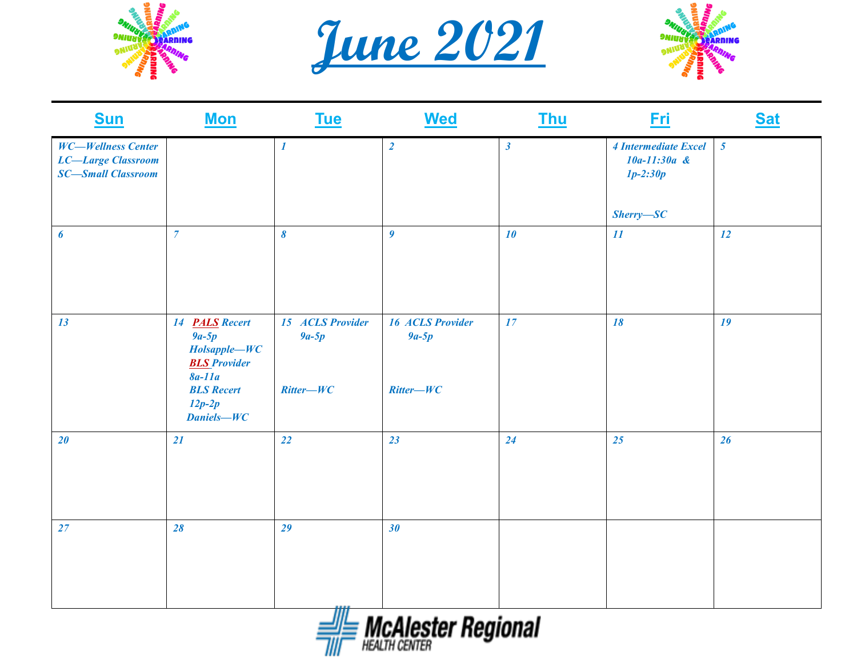





| <b>WC-Wellness Center</b><br><b>LC-Large Classroom</b> |                                                                                                                                           | $\boldsymbol{l}$                           | $\overline{2}$                                    |                |                                                      |                 |
|--------------------------------------------------------|-------------------------------------------------------------------------------------------------------------------------------------------|--------------------------------------------|---------------------------------------------------|----------------|------------------------------------------------------|-----------------|
| <b>SC-Small Classroom</b>                              |                                                                                                                                           |                                            |                                                   | $\mathfrak{z}$ | 4 Intermediate Excel<br>$10a-11:30a$ &<br>$1p-2:30p$ | $5\overline{)}$ |
|                                                        |                                                                                                                                           |                                            |                                                   |                | $Sherry - SC$                                        |                 |
| $\boldsymbol{6}$                                       | $\overline{7}$                                                                                                                            | $\boldsymbol{\delta}$                      | $\boldsymbol{g}$                                  | 10             | 11                                                   | 12              |
| 13                                                     | 14 <b>PALS</b> Recert<br>$9a-5p$<br>Holsapple-WC<br><b>BLS</b> Provider<br>$8a-11a$<br><b>BLS</b> Recert<br>$12p-2p$<br><b>Daniels-WC</b> | 15 ACLS Provider<br>$9a-5p$<br>$Ritter-WC$ | <b>16 ACLS Provider</b><br>$9a-5p$<br>$Ritter-WC$ | 17             | 18                                                   | 19              |
| 20                                                     | 21                                                                                                                                        | 22                                         | 23                                                | 24             | 25                                                   | 26              |
| 27                                                     | 28                                                                                                                                        | 29<br>Ш                                    | 30                                                |                |                                                      |                 |

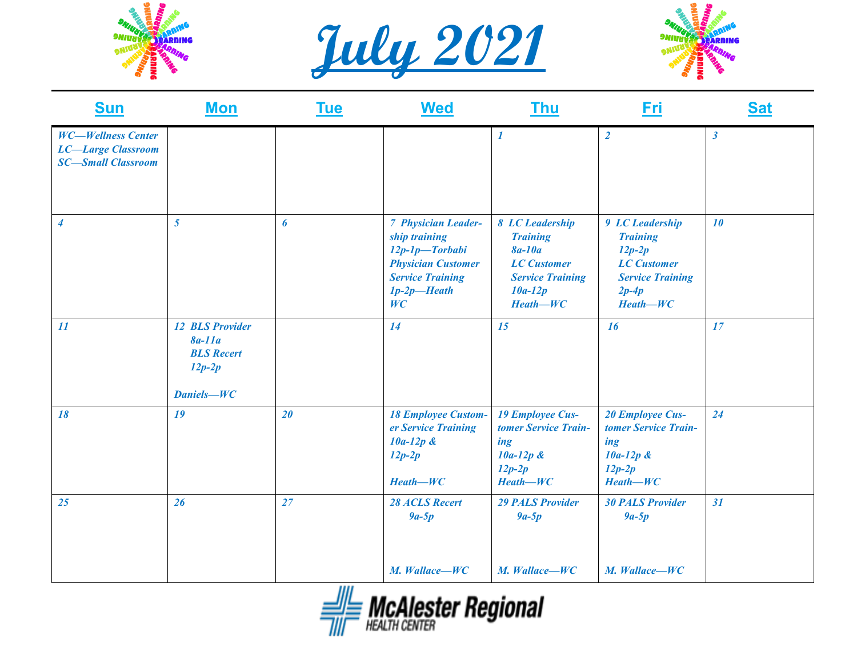





| <b>Sun</b>                                                                          | <b>Mon</b>                                                                               | <u>Tue</u> | <b>Wed</b>                                                                                                                                       | <b>Thu</b>                                                                                                                 | <u>Fri</u>                                                                                                               | <b>Sat</b>           |
|-------------------------------------------------------------------------------------|------------------------------------------------------------------------------------------|------------|--------------------------------------------------------------------------------------------------------------------------------------------------|----------------------------------------------------------------------------------------------------------------------------|--------------------------------------------------------------------------------------------------------------------------|----------------------|
| <b>WC-Wellness Center</b><br><b>LC-Large Classroom</b><br><b>SC-Small Classroom</b> |                                                                                          |            |                                                                                                                                                  | 1                                                                                                                          | $\overline{2}$                                                                                                           | $\boldsymbol{\beta}$ |
| $\boldsymbol{4}$                                                                    | $\overline{5}$                                                                           | 6          | <b>7 Physician Leader-</b><br>ship training<br>$12p-1p$ -Torbabi<br><b>Physician Customer</b><br><b>Service Training</b><br>$1p-2p$ -Heath<br>WC | 8 LC Leadership<br><b>Training</b><br>$8a-10a$<br><b>LC</b> Customer<br><b>Service Training</b><br>$10a-12p$<br>$Heath-WC$ | 9 LC Leadership<br><b>Training</b><br>$12p-2p$<br><b>LC</b> Customer<br><b>Service Training</b><br>$2p-4p$<br>$Heath-WC$ | 10                   |
| 11                                                                                  | <b>12 BLS Provider</b><br>$8a-11a$<br><b>BLS</b> Recert<br>$12p-2p$<br><b>Daniels-WC</b> |            | 14                                                                                                                                               | 15                                                                                                                         | <b>16</b>                                                                                                                | 17                   |
| 18                                                                                  | 19                                                                                       | 20         | <b>18 Employee Custom-</b><br>er Service Training<br>$10a-12p$ &<br>$12p-2p$<br>$Heath-WC$                                                       | <b>19 Employee Cus-</b><br>tomer Service Train-<br>ing<br>$10a-12p$ &<br>$12p-2p$<br>$Heath-WC$                            | <b>20 Employee Cus-</b><br>tomer Service Train-<br>ing<br>$10a-12p$ &<br>$12p-2p$<br>$Heath-WC$                          | 24                   |
| 25                                                                                  | 26                                                                                       | 27         | <b>28 ACLS Recert</b><br>$9a-5p$                                                                                                                 | <b>29 PALS Provider</b><br>$9a-5p$                                                                                         | <b>30 PALS Provider</b><br>$9a-5p$                                                                                       | 31                   |
|                                                                                     |                                                                                          |            | M. Wallace-WC                                                                                                                                    | M. Wallace-WC                                                                                                              | M. Wallace-WC                                                                                                            |                      |

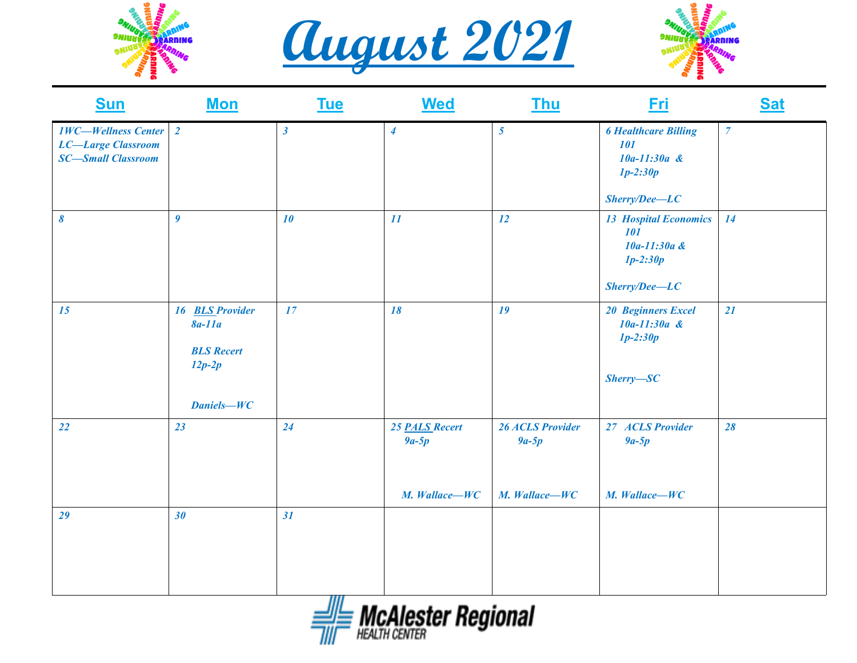





| <b>Sun</b>                                                                           | <b>Mon</b>                                                                               | <b>Tue</b>           | <b>Wed</b>                                 | <b>Thu</b>                                          | <u>Eri</u>                                                                            | <b>Sat</b>     |
|--------------------------------------------------------------------------------------|------------------------------------------------------------------------------------------|----------------------|--------------------------------------------|-----------------------------------------------------|---------------------------------------------------------------------------------------|----------------|
| <b>1WC-Wellness Center</b><br><b>LC-Large Classroom</b><br><b>SC-Small Classroom</b> | $\overline{2}$                                                                           | $\boldsymbol{\beta}$ | $\boldsymbol{4}$                           | $\overline{5}$                                      | <b>6 Healthcare Billing</b><br>101<br>$10a-11:30a$ &<br>$1p-2:30p$<br>$Sherry/Dec-LC$ | $\overline{7}$ |
| $\boldsymbol{\delta}$                                                                | $\boldsymbol{g}$                                                                         | 10                   | 11                                         | 12                                                  | <b>13 Hospital Economics</b><br>101<br>10a-11:30a &<br>$1p-2:30p$<br>$Sherry/Dec-LC$  | <b>14</b>      |
| 15                                                                                   | 16 <b>BLS</b> Provider<br>$8a-11a$<br><b>BLS</b> Recert<br>$12p-2p$<br><b>Daniels-WC</b> | 17                   | 18                                         | 19                                                  | <b>20 Beginners Excel</b><br>$10a-11:30a$ &<br>$1p-2:30p$<br>$Sherry - SC$            | 21             |
| 22                                                                                   | 23                                                                                       | 24                   | 25 PALS Recert<br>$9a-5p$<br>M. Wallace-WC | <b>26 ACLS Provider</b><br>$9a-5p$<br>M. Wallace-WC | 27 ACLS Provider<br>$9a-5p$<br>M. Wallace-WC                                          | 28             |
| 29                                                                                   | 30                                                                                       | 31<br>,,,,           |                                            |                                                     |                                                                                       |                |

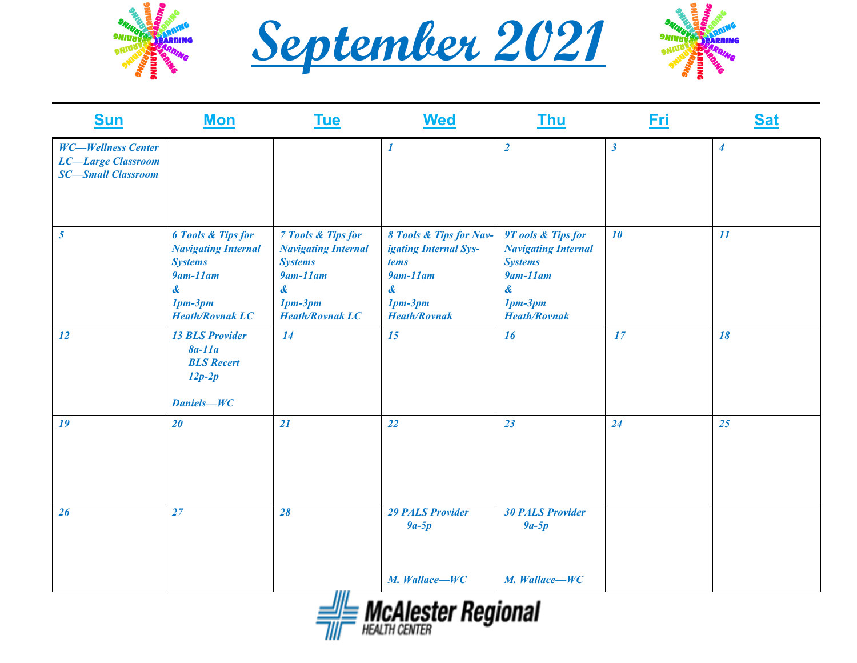





| <b>Sun</b>                                                                          | <b>Mon</b>                                                                                                                                                            | <b>Tue</b>                                                                                                                                   | <b>Wed</b>                                                                                                       | <b>Thu</b>                                                                                                                                     | <u>Fri</u>           | <b>Sat</b>       |
|-------------------------------------------------------------------------------------|-----------------------------------------------------------------------------------------------------------------------------------------------------------------------|----------------------------------------------------------------------------------------------------------------------------------------------|------------------------------------------------------------------------------------------------------------------|------------------------------------------------------------------------------------------------------------------------------------------------|----------------------|------------------|
| <b>WC-Wellness Center</b><br><b>LC-Large Classroom</b><br><b>SC-Small Classroom</b> |                                                                                                                                                                       |                                                                                                                                              | $\boldsymbol{I}$                                                                                                 | $\overline{2}$                                                                                                                                 | $\boldsymbol{\beta}$ | $\boldsymbol{4}$ |
| 5 <sup>5</sup>                                                                      | <b>6 Tools &amp; Tips for</b><br><b>Navigating Internal</b><br><b>Systems</b><br>$9$ am- $11$ am<br>$\boldsymbol{\mathcal{X}}$<br>$1pm-3pm$<br><b>Heath/Rovnak LC</b> | <b>7 Tools &amp; Tips for</b><br><b>Navigating Internal</b><br><b>Systems</b><br>$9$ am- $11$ am<br>&<br>$1pm-3pm$<br><b>Heath/Rovnak LC</b> | 8 Tools & Tips for Nav-<br>igating Internal Sys-<br>tems<br>$9$ am-11am<br>&<br>$1pm-3pm$<br><b>Heath/Rovnak</b> | 9T ools & Tips for<br><b>Navigating Internal</b><br><b>Systems</b><br>$9$ am-11am<br>$\boldsymbol{\alpha}$<br>$1pm-3pm$<br><b>Heath/Rovnak</b> | 10                   | 11               |
| 12                                                                                  | <b>13 BLS Provider</b><br>$8a-11a$<br><b>BLS</b> Recert<br>$12p-2p$<br><b>Daniels-WC</b>                                                                              | 14                                                                                                                                           | 15                                                                                                               | 16                                                                                                                                             | 17                   | 18               |
| 19                                                                                  | 20                                                                                                                                                                    | 21                                                                                                                                           | 22                                                                                                               | 23                                                                                                                                             | 24                   | 25               |
| 26                                                                                  | 27                                                                                                                                                                    | 28                                                                                                                                           | <b>29 PALS Provider</b><br>$9a-5p$<br>M. Wallace-WC                                                              | <b>30 PALS Provider</b><br>$9a-5p$<br>M. Wallace-WC                                                                                            |                      |                  |
|                                                                                     |                                                                                                                                                                       |                                                                                                                                              |                                                                                                                  |                                                                                                                                                |                      |                  |

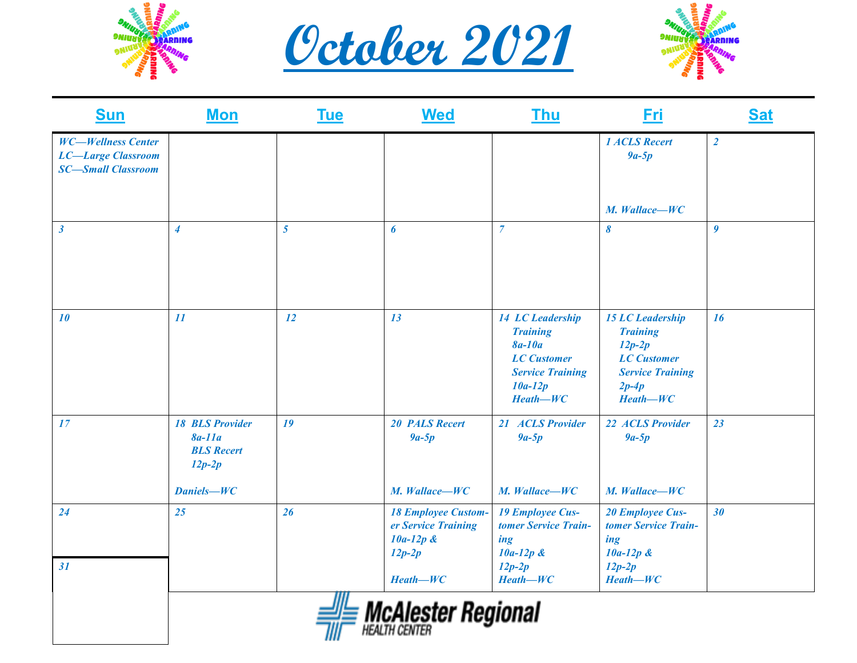





| <b>Sun</b>                                                                          | <b>Mon</b>                                                          | <b>Tue</b>     | <b>Wed</b>                                                                   | <b>Thu</b>                                                                                                                       | <b>Fri</b>                                                                                                                       | <b>Sat</b>     |
|-------------------------------------------------------------------------------------|---------------------------------------------------------------------|----------------|------------------------------------------------------------------------------|----------------------------------------------------------------------------------------------------------------------------------|----------------------------------------------------------------------------------------------------------------------------------|----------------|
| <b>WC-Wellness Center</b><br><b>LC-Large Classroom</b><br><b>SC-Small Classroom</b> |                                                                     |                |                                                                              |                                                                                                                                  | <b>1 ACLS Recert</b><br>$9a-5p$                                                                                                  | $\overline{2}$ |
|                                                                                     |                                                                     |                |                                                                              |                                                                                                                                  | M. Wallace-WC                                                                                                                    |                |
| $\boldsymbol{\beta}$                                                                | $\overline{4}$                                                      | $\overline{5}$ | $\boldsymbol{6}$                                                             | $\overline{7}$                                                                                                                   | 8                                                                                                                                | 9              |
| 10                                                                                  | 11                                                                  | 12             | 13                                                                           | 14 LC Leadership<br><b>Training</b><br><b>8a-10a</b><br><b>LC</b> Customer<br><b>Service Training</b><br>$10a-12p$<br>$Heath-WC$ | <b>15 LC Leadership</b><br><b>Training</b><br>$12p-2p$<br><b>LC</b> Customer<br><b>Service Training</b><br>$2p-4p$<br>$Heath-WC$ | 16             |
| 17                                                                                  | <b>18 BLS Provider</b><br>$8a-11a$<br><b>BLS</b> Recert<br>$12p-2p$ | 19             | <b>20 PALS Recert</b><br>$9a-5p$                                             | 21 ACLS Provider<br>$9a-5p$                                                                                                      | 22 ACLS Provider<br>$9a-5p$                                                                                                      | 23             |
|                                                                                     | <b>Daniels-WC</b>                                                   |                | M. Wallace-WC                                                                | M. Wallace-WC                                                                                                                    | M. Wallace-WC                                                                                                                    |                |
| 24                                                                                  | 25                                                                  | 26             | <b>18 Employee Custom-</b><br>er Service Training<br>$10a-12p$ &<br>$12p-2p$ | <b>19 Employee Cus-</b><br>tomer Service Train-<br>ing<br>$10a-12p$ &                                                            | <b>20 Employee Cus-</b><br>tomer Service Train-<br>ing<br>$10a-12p$ &                                                            | 30             |
| 31                                                                                  |                                                                     |                | $Heath-WC$                                                                   | $12p-2p$<br>$Heath-WC$                                                                                                           | $12p-2p$<br>$Heath-WC$                                                                                                           |                |
|                                                                                     |                                                                     |                | <i><b>McAlester Regional</b></i>                                             |                                                                                                                                  |                                                                                                                                  |                |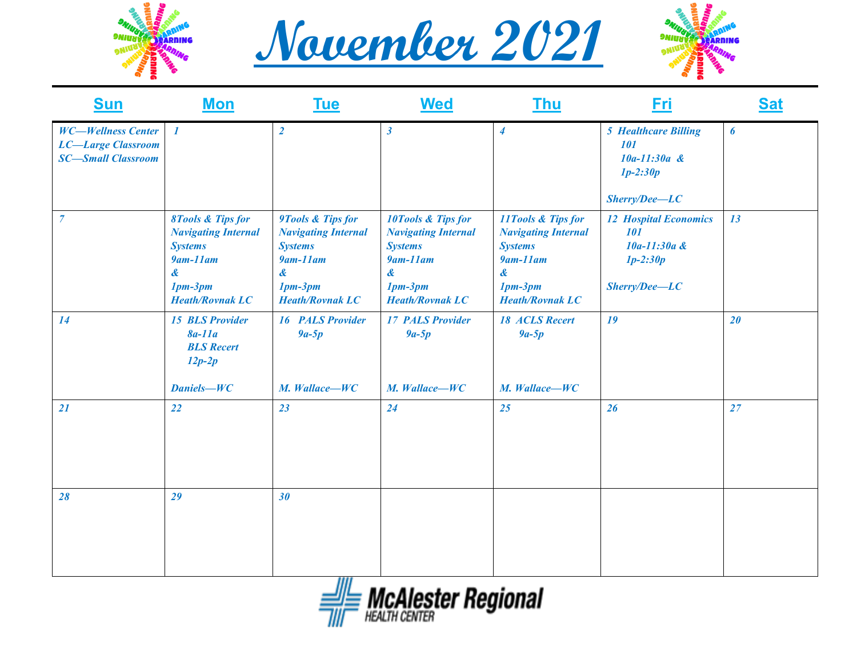





| <b>Sun</b>                                                                          | <b>Mon</b>                                                                                                                                  | <b>Tue</b>                                                                                                                       | <b>Wed</b>                                                                                                                        | <u>Thu</u>                                                                                                                                                 | Fri                                                                                   | <b>Sat</b> |
|-------------------------------------------------------------------------------------|---------------------------------------------------------------------------------------------------------------------------------------------|----------------------------------------------------------------------------------------------------------------------------------|-----------------------------------------------------------------------------------------------------------------------------------|------------------------------------------------------------------------------------------------------------------------------------------------------------|---------------------------------------------------------------------------------------|------------|
| <b>WC-Wellness Center</b><br><b>LC-Large Classroom</b><br><b>SC-Small Classroom</b> | $\boldsymbol{l}$                                                                                                                            | $\overline{2}$                                                                                                                   | $\boldsymbol{\beta}$                                                                                                              | $\boldsymbol{4}$                                                                                                                                           | <b>5 Healthcare Billing</b><br>101<br>$10a-11:30a$ &<br>$1p-2:30p$<br>$Sherry/Dec-LC$ | 6          |
| $\overline{7}$                                                                      | <b>8Tools &amp; Tips for</b><br><b>Navigating Internal</b><br><b>Systems</b><br>$9$ am- $11$ am<br>&<br>$1pm-3pm$<br><b>Heath/Rovnak LC</b> | 9Tools & Tips for<br><b>Navigating Internal</b><br><b>Systems</b><br>$9$ am- $11$ am<br>&<br>$1pm-3pm$<br><b>Heath/Rovnak LC</b> | 10Tools & Tips for<br><b>Navigating Internal</b><br><b>Systems</b><br>$9$ am- $11$ am<br>&<br>$1pm-3pm$<br><b>Heath/Rovnak LC</b> | 11Tools & Tips for<br><b>Navigating Internal</b><br><b>Systems</b><br>$9$ am- $11$ am<br>$\boldsymbol{\mathcal{X}}$<br>$1pm-3pm$<br><b>Heath/Rovnak LC</b> | <b>12 Hospital Economics</b><br>101<br>10a-11:30a &<br>$1p-2:30p$<br>$Sherry/Dec-LC$  | 13         |
| 14                                                                                  | <b>15 BLS Provider</b><br>$8a-11a$<br><b>BLS</b> Recert<br>$12p-2p$<br><b>Daniels-WC</b>                                                    | <b>16 PALS Provider</b><br>$9a-5p$<br>M. Wallace-WC                                                                              | <b>17 PALS Provider</b><br>$9a-5p$<br>M. Wallace-WC                                                                               | <b>18 ACLS Recert</b><br>$9a-5p$<br>M. Wallace-WC                                                                                                          | 19                                                                                    | 20         |
| 21                                                                                  | 22                                                                                                                                          | 23                                                                                                                               | 24                                                                                                                                | 25                                                                                                                                                         | 26                                                                                    | 27         |
| 28                                                                                  | 29                                                                                                                                          | 30                                                                                                                               |                                                                                                                                   |                                                                                                                                                            |                                                                                       |            |